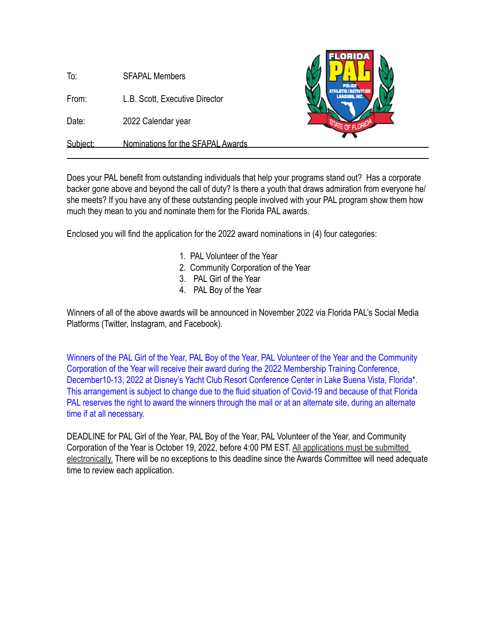| To:      | <b>SFAPAL Members</b>             | <u>EFOHDA</u><br>POLICE                              |
|----------|-----------------------------------|------------------------------------------------------|
| From:    | L.B. Scott, Executive Director    | <b>ATHLETIC / ACTIVITIES</b><br><b>LEAGUES, INC.</b> |
| Date:    | 2022 Calendar year                |                                                      |
| Subiect: | Nominations for the SFAPAL Awards |                                                      |

Does your PAL benefit from outstanding individuals that help your programs stand out? Has a corporate backer gone above and beyond the call of duty? Is there a youth that draws admiration from everyone he/ she meets? If you have any of these outstanding people involved with your PAL program show them how much they mean to you and nominate them for the Florida PAL awards.

Enclosed you will find the application for the 2022 award nominations in (4) four categories:

- 1. PAL Volunteer of the Year
- 2. Community Corporation of the Year
- 3. PAL Girl of the Year
- 4. PAL Boy of the Year

Winners of all of the above awards will be announced in November 2022 via Florida PAL's Social Media Platforms (Twitter, Instagram, and Facebook).

Winners of the PAL Girl of the Year, PAL Boy of the Year, PAL Volunteer of the Year and the Community Corporation of the Year will receive their award during the 2022 Membership Training Conference, December10-13, 2022 at Disney's Yacht Club Resort Conference Center in Lake Buena Vista, Florida\*. This arrangement is subject to change due to the fluid situation of Covid-19 and because of that Florida PAL reserves the right to award the winners through the mail or at an alternate site, during an alternate time if at all necessary.

DEADLINE for PAL Girl of the Year, PAL Boy of the Year, PAL Volunteer of the Year, and Community Corporation of the Year is October 19, 2022, before 4:00 PM EST. All applications must be submitted electronically. There will be no exceptions to this deadline since the Awards Committee will need adequate time to review each application.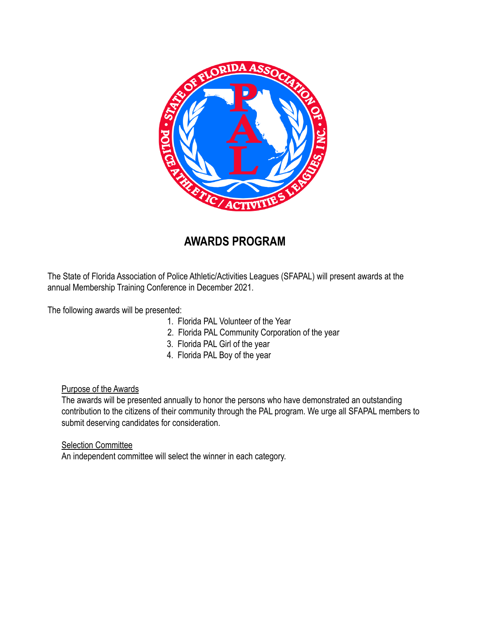

# **AWARDS PROGRAM**

The State of Florida Association of Police Athletic/Activities Leagues (SFAPAL) will present awards at the annual Membership Training Conference in December 2021.

The following awards will be presented:

- 1. Florida PAL Volunteer of the Year
- 2. Florida PAL Community Corporation of the year
- 3. Florida PAL Girl of the year
- 4. Florida PAL Boy of the year

#### Purpose of the Awards

The awards will be presented annually to honor the persons who have demonstrated an outstanding contribution to the citizens of their community through the PAL program. We urge all SFAPAL members to submit deserving candidates for consideration.

#### Selection Committee

An independent committee will select the winner in each category.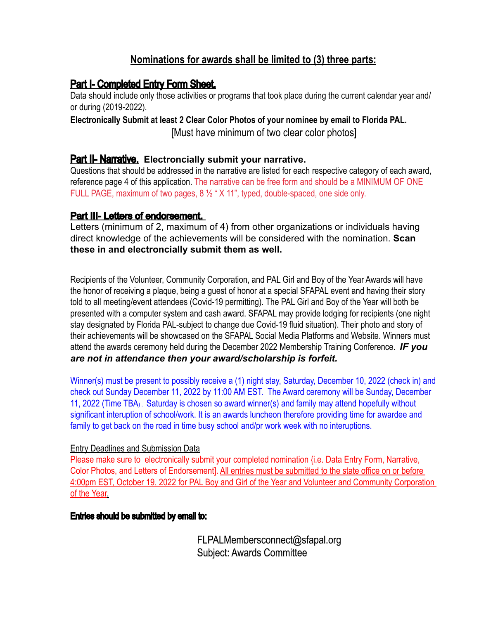### **Nominations for awards shall be limited to (3) three parts:**

### Part I- Completed Entry Form Sheet.

Data should include only those activities or programs that took place during the current calendar year and/ or during (2019-2022).

**Electronically Submit at least 2 Clear Color Photos of your nominee by email to Florida PAL.** [Must have minimum of two clear color photos]

#### Part II- Narrative. **Electroncially submit your narrative.**

Questions that should be addressed in the narrative are listed for each respective category of each award, reference page 4 of this application. The narrative can be free form and should be a MINIMUM OF ONE FULL PAGE, maximum of two pages, 8 ½ " X 11", typed, double-spaced, one side only.

#### Part III- Letters of endorsement.

Letters (minimum of 2, maximum of 4) from other organizations or individuals having direct knowledge of the achievements will be considered with the nomination. **Scan these in and electroncially submit them as well.** 

Recipients of the Volunteer, Community Corporation, and PAL Girl and Boy of the Year Awards will have the honor of receiving a plaque, being a guest of honor at a special SFAPAL event and having their story told to all meeting/event attendees (Covid-19 permitting). The PAL Girl and Boy of the Year will both be presented with a computer system and cash award. SFAPAL may provide lodging for recipients (one night stay designated by Florida PAL-subject to change due Covid-19 fluid situation). Their photo and story of their achievements will be showcased on the SFAPAL Social Media Platforms and Website. Winners must attend the awards ceremony held during the December 2022 Membership Training Conference. *IF you are not in attendance then your award/scholarship is forfeit.* 

Winner(s) must be present to possibly receive a (1) night stay, Saturday, December 10, 2022 (check in) and check out Sunday December 11, 2022 by 11:00 AM EST. The Award ceremony will be Sunday, December 11, 2022 (Time TBA) . Saturday is chosen so award winner(s) and family may attend hopefully without significant interuption of school/work. It is an awards luncheon therefore providing time for awardee and family to get back on the road in time busy school and/pr work week with no interuptions.

#### Entry Deadlines and Submission Data

Please make sure to electronically submit your completed nomination {i.e. Data Entry Form, Narrative, Color Photos, and Letters of Endorsement]. All entries must be submitted to the state office on or before 4:00pm EST, October 19, 2022 for PAL Boy and Girl of the Year and Volunteer and Community Corporation of the Year.

#### Entries should be submitted by email to:

 FLPALMembersconnect@sfapal.org Subject: Awards Committee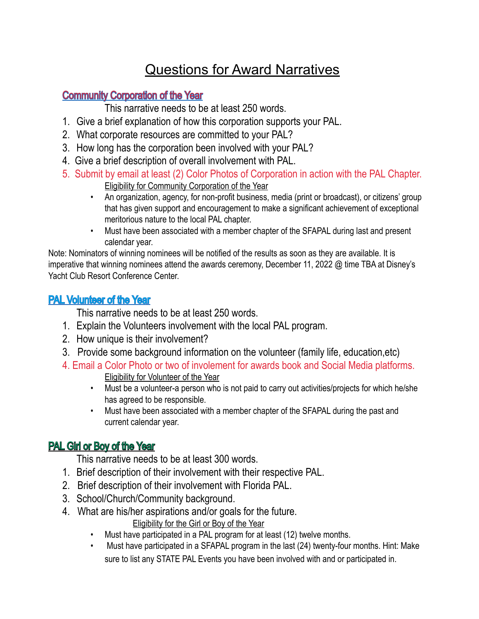# Questions for Award Narratives

### Community Corporation of the Year

This narrative needs to be at least 250 words.

- 1. Give a brief explanation of how this corporation supports your PAL.
- 2. What corporate resources are committed to your PAL?
- 3. How long has the corporation been involved with your PAL?
- 4. Give a brief description of overall involvement with PAL.
- 5. Submit by email at least (2) Color Photos of Corporation in action with the PAL Chapter. Eligibility for Community Corporation of the Year
	- An organization, agency, for non-profit business, media (print or broadcast), or citizens' group that has given support and encouragement to make a significant achievement of exceptional meritorious nature to the local PAL chapter.
	- Must have been associated with a member chapter of the SFAPAL during last and present calendar year.

Note: Nominators of winning nominees will be notified of the results as soon as they are available. It is imperative that winning nominees attend the awards ceremony, December 11, 2022 @ time TBA at Disney's Yacht Club Resort Conference Center.

### **PAL Volunteer of the Year**

This narrative needs to be at least 250 words.

- 1. Explain the Volunteers involvement with the local PAL program.
- 2. How unique is their involvement?
- 3. Provide some background information on the volunteer (family life, education,etc)
- 4. Email a Color Photo or two of involement for awards book and Social Media platforms. Eligibility for Volunteer of the Year
	- Must be a volunteer-a person who is not paid to carry out activities/projects for which he/she has agreed to be responsible.
	- Must have been associated with a member chapter of the SFAPAL during the past and current calendar year.

## PAL Girl or Boy of the Year

This narrative needs to be at least 300 words.

- 1. Brief description of their involvement with their respective PAL.
- 2. Brief description of their involvement with Florida PAL.
- 3. School/Church/Community background.
- 4. What are his/her aspirations and/or goals for the future.

Eligibility for the Girl or Boy of the Year

- Must have participated in a PAL program for at least (12) twelve months.
- Must have participated in a SFAPAL program in the last (24) twenty-four months. Hint: Make sure to list any STATE PAL Events you have been involved with and or participated in.